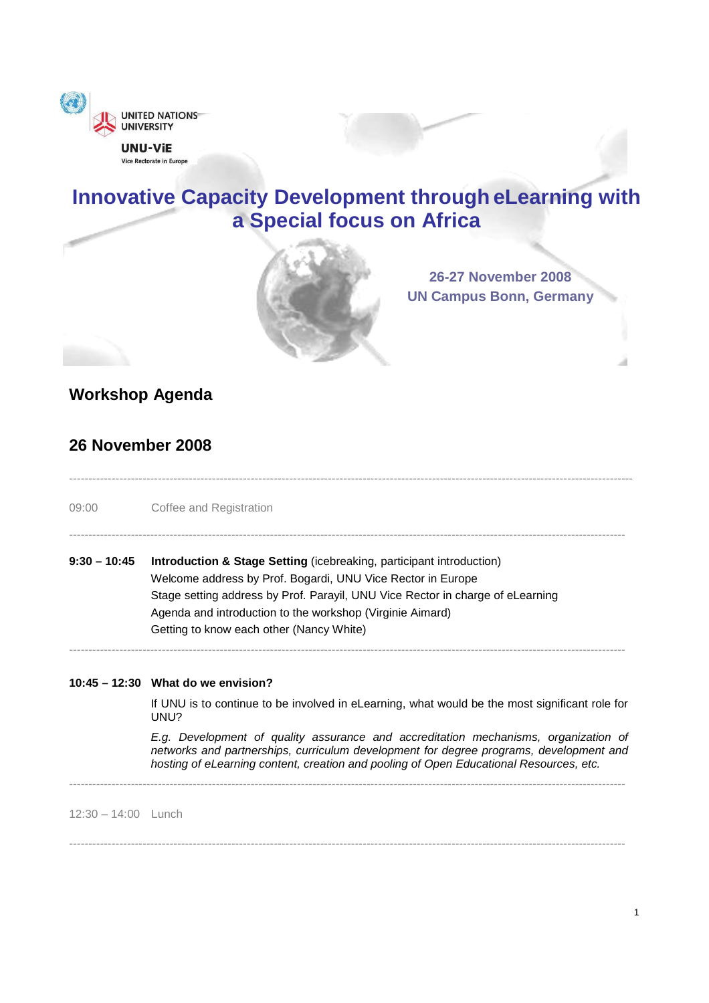

Vice Rectorate in Europe

# **Innovative Capacity Development through eLearning with a Special focus on Africa**

--------------------------------------------------------------------------------------------------------------------------------------------------

------------------------------------------------------------------------------------------------------------------------------------------------

------------------------------------------------------------------------------------------------------------------------------------------------



**26-27 November 2008 UN Campus Bonn, Germany**

# **Workshop Agenda**

### **26 November 2008**

09:00 Coffee and Registration

| 9:30 – 10:45 | <b>Introduction &amp; Stage Setting (icebreaking, participant introduction)</b> |
|--------------|---------------------------------------------------------------------------------|
|              | Welcome address by Prof. Bogardi, UNU Vice Rector in Europe                     |
|              | Stage setting address by Prof. Parayil, UNU Vice Rector in charge of eLearning  |
|              | Agenda and introduction to the workshop (Virginie Aimard)                       |
|              | Getting to know each other (Nancy White)                                        |
|              |                                                                                 |

#### **10:45 – 12:30 What do we envision?**

If UNU is to continue to be involved in eLearning, what would be the most significant role for UNU?

E.g. Development of quality assurance and accreditation mechanisms, organization of networks and partnerships, curriculum development for degree programs, development and hosting of eLearning content, creation and pooling of Open Educational Resources, etc.

12:30 – 14:00 Lunch

------------------------------------------------------------------------------------------------------------------------------------------------

------------------------------------------------------------------------------------------------------------------------------------------------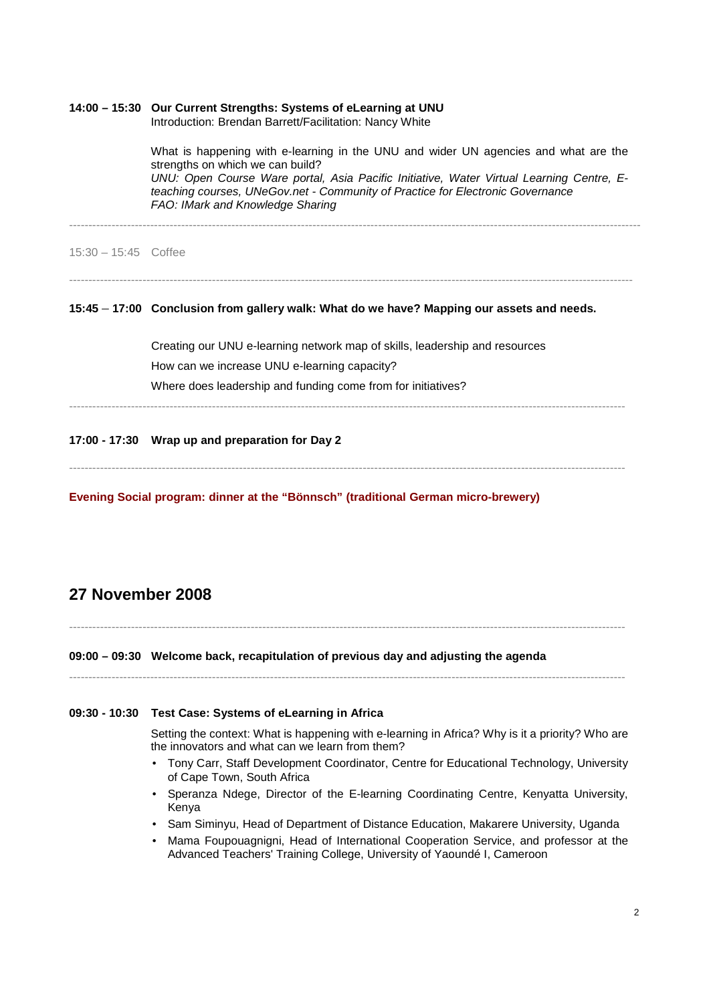|                        | 14:00 - 15:30 Our Current Strengths: Systems of eLearning at UNU<br>Introduction: Brendan Barrett/Facilitation: Nancy White                                                                                                                                                                                                               |
|------------------------|-------------------------------------------------------------------------------------------------------------------------------------------------------------------------------------------------------------------------------------------------------------------------------------------------------------------------------------------|
|                        | What is happening with e-learning in the UNU and wider UN agencies and what are the<br>strengths on which we can build?<br>UNU: Open Course Ware portal, Asia Pacific Initiative, Water Virtual Learning Centre, E-<br>teaching courses, UNeGov.net - Community of Practice for Electronic Governance<br>FAO: IMark and Knowledge Sharing |
| $15:30 - 15:45$ Coffee |                                                                                                                                                                                                                                                                                                                                           |
|                        | 15:45 - 17:00 Conclusion from gallery walk: What do we have? Mapping our assets and needs.                                                                                                                                                                                                                                                |
|                        | Creating our UNU e-learning network map of skills, leadership and resources                                                                                                                                                                                                                                                               |
|                        | How can we increase UNU e-learning capacity?                                                                                                                                                                                                                                                                                              |
|                        | Where does leadership and funding come from for initiatives?                                                                                                                                                                                                                                                                              |
|                        | 17:00 - 17:30 Wrap up and preparation for Day 2                                                                                                                                                                                                                                                                                           |
|                        |                                                                                                                                                                                                                                                                                                                                           |

**Evening Social program: dinner at the "Bönnsch" (traditional German micro-brewery)** 

## **27 November 2008**

------------------------------------------------------------------------------------------------------------------------------------------------

**09:00 – 09:30 Welcome back, recapitulation of previous day and adjusting the agenda**

------------------------------------------------------------------------------------------------------------------------------------------------

#### **09:30 - 10:30 Test Case: Systems of eLearning in Africa**

Setting the context: What is happening with e-learning in Africa? Why is it a priority? Who are the innovators and what can we learn from them?

- Tony Carr, Staff Development Coordinator, Centre for Educational Technology, University of Cape Town, South Africa
- Speranza Ndege, Director of the E-learning Coordinating Centre, Kenyatta University, Kenya
- Sam Siminyu, Head of Department of Distance Education, Makarere University, Uganda
- Mama Foupouagnigni, Head of International Cooperation Service, and professor at the Advanced Teachers' Training College, University of Yaoundé I, Cameroon